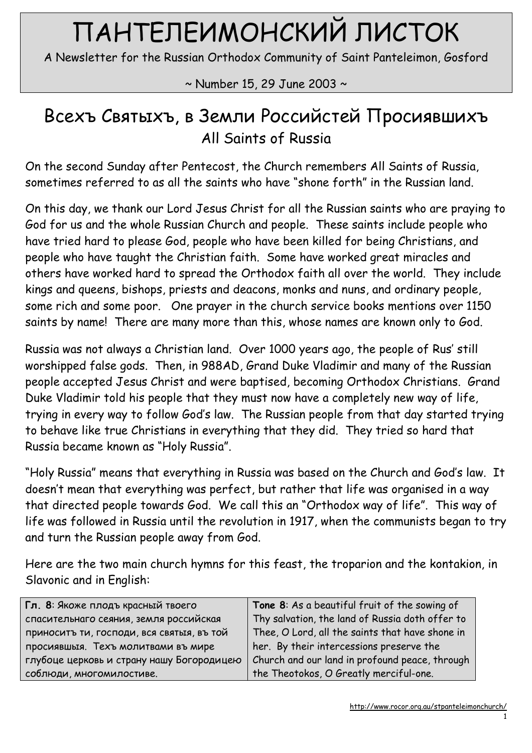# ПАНТЕЛЕИМОНСКИЙ ЛИСТОК

A Newsletter for the Russian Orthodox Community of Saint Panteleimon, Gosford

~ Number 15, 29 June 2003 ~

# Всехъ Святыхъ, в Земли Российстей Просиявшихъ All Saints of Russia

On the second Sunday after Pentecost, the Church remembers All Saints of Russia, sometimes referred to as all the saints who have "shone forth" in the Russian land.

On this day, we thank our Lord Jesus Christ for all the Russian saints who are praying to God for us and the whole Russian Church and people. These saints include people who have tried hard to please God, people who have been killed for being Christians, and people who have taught the Christian faith. Some have worked great miracles and others have worked hard to spread the Orthodox faith all over the world. They include kings and queens, bishops, priests and deacons, monks and nuns, and ordinary people, some rich and some poor. One prayer in the church service books mentions over 1150 saints by name! There are many more than this, whose names are known only to God.

Russia was not always a Christian land. Over 1000 years ago, the people of Rus' still worshipped false gods. Then, in 988AD, Grand Duke Vladimir and many of the Russian people accepted Jesus Christ and were baptised, becoming Orthodox Christians. Grand Duke Vladimir told his people that they must now have a completely new way of life, trying in every way to follow God's law. The Russian people from that day started trying to behave like true Christians in everything that they did. They tried so hard that Russia became known as "Holy Russia".

"Holy Russia" means that everything in Russia was based on the Church and God's law. It doesn't mean that everything was perfect, but rather that life was organised in a way that directed people towards God. We call this an "Orthodox way of life". This way of life was followed in Russia until the revolution in 1917, when the communists began to try and turn the Russian people away from God.

Here are the two main church hymns for this feast, the troparion and the kontakion, in Slavonic and in English:

| Гл. 8: Якоже плодъ красный твоего         | Tone 8: As a beautiful fruit of the sowing of   |
|-------------------------------------------|-------------------------------------------------|
| спасительнаго сеяния, земля российская    | Thy salvation, the land of Russia doth offer to |
| приноситъ ти, господи, вся святыя, въ той | Thee, O Lord, all the saints that have shone in |
| просиявшыя. Техъ молитвами въ мире        | her. By their intercessions preserve the        |
| глубоце церковь и страну нашу Богородицею | Church and our land in profound peace, through  |
| соблюди, многомилостиве.                  | the Theotokos, O Greatly merciful-one.          |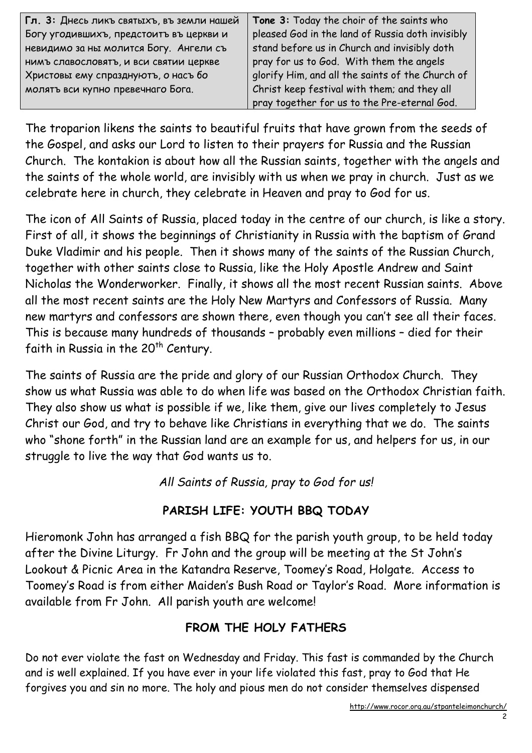| Гл. 3: Днесь ликъ святыхъ, въ земли нашей                                         | Tone 3: Today the choir of the saints who        |
|-----------------------------------------------------------------------------------|--------------------------------------------------|
| Богу угодившихъ, предстоитъ въ церкви и                                           | pleased God in the land of Russia doth invisibly |
| невидимо за ны молится Богу. Ангели съ                                            | stand before us in Church and invisibly doth     |
| нимъ славословятъ, и вси святии церкве                                            | pray for us to God. With them the angels         |
| Христовы ему спразднують, о насъ бо                                               | glorify Him, and all the saints of the Church of |
| Christ keep festival with them; and they all<br>молятъ вси купно превечнаго Бога. |                                                  |
|                                                                                   | pray together for us to the Pre-eternal God.     |

The troparion likens the saints to beautiful fruits that have grown from the seeds of the Gospel, and asks our Lord to listen to their prayers for Russia and the Russian Church. The kontakion is about how all the Russian saints, together with the angels and the saints of the whole world, are invisibly with us when we pray in church. Just as we celebrate here in church, they celebrate in Heaven and pray to God for us.

The icon of All Saints of Russia, placed today in the centre of our church, is like a story. First of all, it shows the beginnings of Christianity in Russia with the baptism of Grand Duke Vladimir and his people. Then it shows many of the saints of the Russian Church, together with other saints close to Russia, like the Holy Apostle Andrew and Saint Nicholas the Wonderworker. Finally, it shows all the most recent Russian saints. Above all the most recent saints are the Holy New Martyrs and Confessors of Russia. Many new martyrs and confessors are shown there, even though you can't see all their faces. This is because many hundreds of thousands – probably even millions – died for their faith in Russia in the 20<sup>th</sup> Century.

The saints of Russia are the pride and glory of our Russian Orthodox Church. They show us what Russia was able to do when life was based on the Orthodox Christian faith. They also show us what is possible if we, like them, give our lives completely to Jesus Christ our God, and try to behave like Christians in everything that we do. The saints who "shone forth" in the Russian land are an example for us, and helpers for us, in our struggle to live the way that God wants us to.

All Saints of Russia, pray to God for us!

## PARISH LIFE: YOUTH BBQ TODAY

Hieromonk John has arranged a fish BBQ for the parish youth group, to be held today after the Divine Liturgy. Fr John and the group will be meeting at the St John's Lookout & Picnic Area in the Katandra Reserve, Toomey's Road, Holgate. Access to Toomey's Road is from either Maiden's Bush Road or Taylor's Road. More information is available from Fr John. All parish youth are welcome!

## FROM THE HOLY FATHERS

Do not ever violate the fast on Wednesday and Friday. This fast is commanded by the Church and is well explained. If you have ever in your life violated this fast, pray to God that He forgives you and sin no more. The holy and pious men do not consider themselves dispensed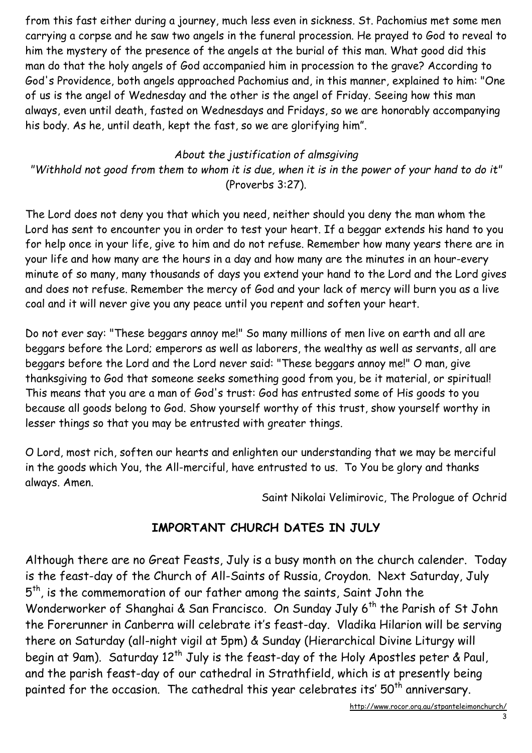from this fast either during a journey, much less even in sickness. St. Pachomius met some men carrying a corpse and he saw two angels in the funeral procession. He prayed to God to reveal to him the mystery of the presence of the angels at the burial of this man. What good did this man do that the holy angels of God accompanied him in procession to the grave? According to God's Providence, both angels approached Pachomius and, in this manner, explained to him: "One of us is the angel of Wednesday and the other is the angel of Friday. Seeing how this man always, even until death, fasted on Wednesdays and Fridays, so we are honorably accompanying his body. As he, until death, kept the fast, so we are glorifying him".

#### About the justification of almsgiving

"Withhold not good from them to whom it is due, when it is in the power of your hand to do it" (Proverbs 3:27).

The Lord does not deny you that which you need, neither should you deny the man whom the Lord has sent to encounter you in order to test your heart. If a beggar extends his hand to you for help once in your life, give to him and do not refuse. Remember how many years there are in your life and how many are the hours in a day and how many are the minutes in an hour-every minute of so many, many thousands of days you extend your hand to the Lord and the Lord gives and does not refuse. Remember the mercy of God and your lack of mercy will burn you as a live coal and it will never give you any peace until you repent and soften your heart.

Do not ever say: "These beggars annoy me!" So many millions of men live on earth and all are beggars before the Lord; emperors as well as laborers, the wealthy as well as servants, all are beggars before the Lord and the Lord never said: "These beggars annoy me!" O man, give thanksgiving to God that someone seeks something good from you, be it material, or spiritual! This means that you are a man of God's trust: God has entrusted some of His goods to you because all goods belong to God. Show yourself worthy of this trust, show yourself worthy in lesser things so that you may be entrusted with greater things.

O Lord, most rich, soften our hearts and enlighten our understanding that we may be merciful in the goods which You, the All-merciful, have entrusted to us. To You be glory and thanks always. Amen.

Saint Nikolai Velimirovic, The Prologue of Ochrid

#### IMPORTANT CHURCH DATES IN JULY

Although there are no Great Feasts, July is a busy month on the church calender. Today is the feast-day of the Church of All-Saints of Russia, Croydon. Next Saturday, July  $5^{\text{th}}$ , is the commemoration of our father among the saints, Saint John the Wonderworker of Shanghai & San Francisco. On Sunday July 6<sup>th</sup> the Parish of St John the Forerunner in Canberra will celebrate it's feast-day. Vladika Hilarion will be serving there on Saturday (all-night vigil at 5pm) & Sunday (Hierarchical Divine Liturgy will begin at 9am). Saturday 12<sup>th</sup> July is the feast-day of the Holy Apostles peter & Paul, and the parish feast-day of our cathedral in Strathfield, which is at presently being painted for the occasion. The cathedral this year celebrates its' 50<sup>th</sup> anniversary.